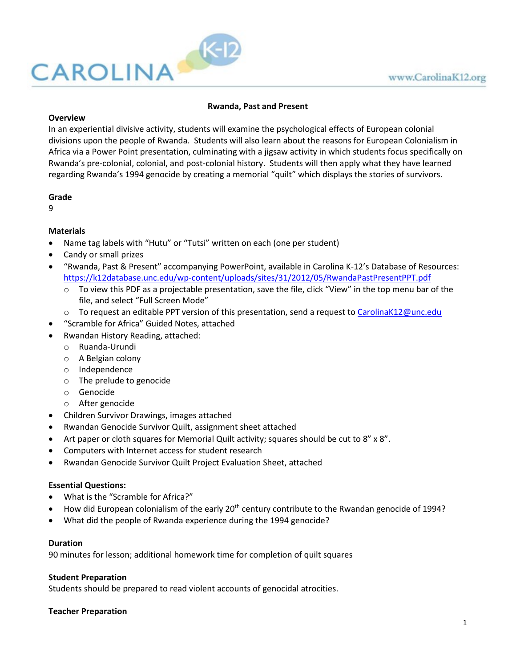

### **Rwanda, Past and Present**

#### **Overview**

In an experiential divisive activity, students will examine the psychological effects of European colonial divisions upon the people of Rwanda. Students will also learn about the reasons for European Colonialism in Africa via a Power Point presentation, culminating with a jigsaw activity in which students focus specifically on Rwanda's pre-colonial, colonial, and post-colonial history. Students will then apply what they have learned regarding Rwanda's 1994 genocide by creating a memorial "quilt" which displays the stories of survivors.

#### **Grade**

9

### **Materials**

- Name tag labels with "Hutu" or "Tutsi" written on each (one per student)
- Candy or small prizes
- "Rwanda, Past & Present" accompanying PowerPoint, available in Carolina K-12's Database of Resources: <https://k12database.unc.edu/wp-content/uploads/sites/31/2012/05/RwandaPastPresentPPT.pdf>
	- $\circ$  To view this PDF as a projectable presentation, save the file, click "View" in the top menu bar of the file, and select "Full Screen Mode"
	- $\circ$  To request an editable PPT version of this presentation, send a request to [CarolinaK12@unc.edu](mailto:CarolinaK12@unc.edu)
- "Scramble for Africa" Guided Notes, attached
- Rwandan History Reading, attached:
	- o Ruanda-Urundi
	- o A Belgian colony
	- o Independence
	- o The prelude to genocide
	- o Genocide
	- o After genocide
- Children Survivor Drawings, images attached
- Rwandan Genocide Survivor Quilt, assignment sheet attached
- Art paper or cloth squares for Memorial Quilt activity; squares should be cut to 8" x 8".
- Computers with Internet access for student research
- Rwandan Genocide Survivor Quilt Project Evaluation Sheet, attached

### **Essential Questions:**

- What is the "Scramble for Africa?"
- How did European colonialism of the early 20<sup>th</sup> century contribute to the Rwandan genocide of 1994?
- What did the people of Rwanda experience during the 1994 genocide?

### **Duration**

90 minutes for lesson; additional homework time for completion of quilt squares

### **Student Preparation**

Students should be prepared to read violent accounts of genocidal atrocities.

### **Teacher Preparation**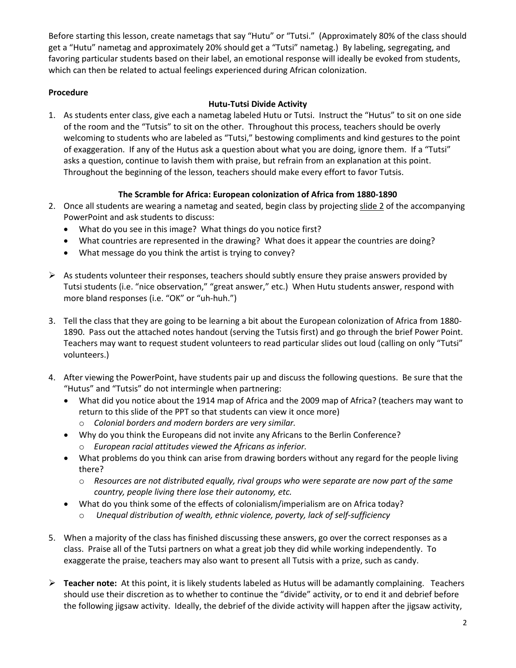Before starting this lesson, create nametags that say "Hutu" or "Tutsi." (Approximately 80% of the class should get a "Hutu" nametag and approximately 20% should get a "Tutsi" nametag.) By labeling, segregating, and favoring particular students based on their label, an emotional response will ideally be evoked from students, which can then be related to actual feelings experienced during African colonization.

# **Procedure**

# **Hutu-Tutsi Divide Activity**

1. As students enter class, give each a nametag labeled Hutu or Tutsi. Instruct the "Hutus" to sit on one side of the room and the "Tutsis" to sit on the other. Throughout this process, teachers should be overly welcoming to students who are labeled as "Tutsi," bestowing compliments and kind gestures to the point of exaggeration. If any of the Hutus ask a question about what you are doing, ignore them. If a "Tutsi" asks a question, continue to lavish them with praise, but refrain from an explanation at this point. Throughout the beginning of the lesson, teachers should make every effort to favor Tutsis.

# **The Scramble for Africa: European colonization of Africa from 1880-1890**

- 2. Once all students are wearing a nametag and seated, begin class by projecting slide 2 of the accompanying PowerPoint and ask students to discuss:
	- What do you see in this image? What things do you notice first?
	- What countries are represented in the drawing? What does it appear the countries are doing?
	- What message do you think the artist is trying to convey?
- $\triangleright$  As students volunteer their responses, teachers should subtly ensure they praise answers provided by Tutsi students (i.e. "nice observation," "great answer," etc.) When Hutu students answer, respond with more bland responses (i.e. "OK" or "uh-huh.")
- 3. Tell the class that they are going to be learning a bit about the European colonization of Africa from 1880- 1890. Pass out the attached notes handout (serving the Tutsis first) and go through the brief Power Point. Teachers may want to request student volunteers to read particular slides out loud (calling on only "Tutsi" volunteers.)
- 4. After viewing the PowerPoint, have students pair up and discuss the following questions. Be sure that the "Hutus" and "Tutsis" do not intermingle when partnering:
	- What did you notice about the 1914 map of Africa and the 2009 map of Africa? (teachers may want to return to this slide of the PPT so that students can view it once more)
		- o *Colonial borders and modern borders are very similar.*
	- Why do you think the Europeans did not invite any Africans to the Berlin Conference? o *European racial attitudes viewed the Africans as inferior.*
	- What problems do you think can arise from drawing borders without any regard for the people living there?
		- o *Resources are not distributed equally, rival groups who were separate are now part of the same country, people living there lose their autonomy, etc.*
	- What do you think some of the effects of colonialism/imperialism are on Africa today?
		- o *Unequal distribution of wealth, ethnic violence, poverty, lack of self-sufficiency*
- 5. When a majority of the class has finished discussing these answers, go over the correct responses as a class. Praise all of the Tutsi partners on what a great job they did while working independently. To exaggerate the praise, teachers may also want to present all Tutsis with a prize, such as candy.
- **Teacher note:** At this point, it is likely students labeled as Hutus will be adamantly complaining. Teachers should use their discretion as to whether to continue the "divide" activity, or to end it and debrief before the following jigsaw activity. Ideally, the debrief of the divide activity will happen after the jigsaw activity,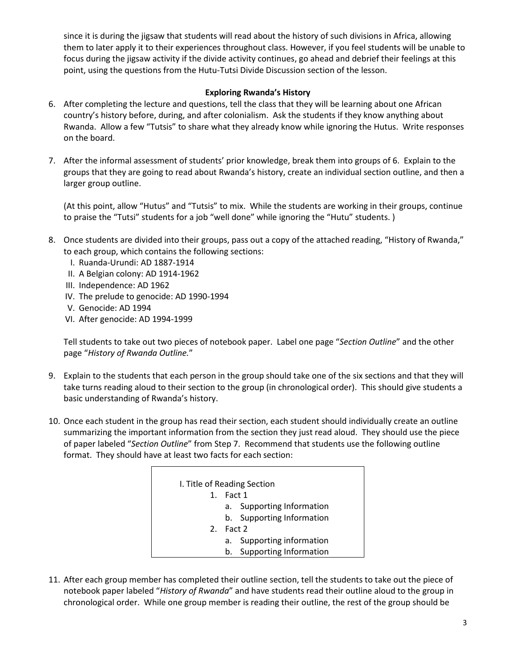since it is during the jigsaw that students will read about the history of such divisions in Africa, allowing them to later apply it to their experiences throughout class. However, if you feel students will be unable to focus during the jigsaw activity if the divide activity continues, go ahead and debrief their feelings at this point, using the questions from the Hutu-Tutsi Divide Discussion section of the lesson.

### **Exploring Rwanda's History**

- 6. After completing the lecture and questions, tell the class that they will be learning about one African country's history before, during, and after colonialism. Ask the students if they know anything about Rwanda. Allow a few "Tutsis" to share what they already know while ignoring the Hutus. Write responses on the board.
- 7. After the informal assessment of students' prior knowledge, break them into groups of 6. Explain to the groups that they are going to read about Rwanda's history, create an individual section outline, and then a larger group outline.

(At this point, allow "Hutus" and "Tutsis" to mix. While the students are working in their groups, continue to praise the "Tutsi" students for a job "well done" while ignoring the "Hutu" students. )

- 8. Once students are divided into their groups, pass out a copy of the attached reading, "History of Rwanda," to each group, which contains the following sections:
	- I. Ruanda-Urundi: AD 1887-1914
	- II. A Belgian colony: AD 1914-1962
	- III. Independence: AD 1962
	- IV. The prelude to genocide: AD 1990-1994
	- V. Genocide: AD 1994
	- VI. After genocide: AD 1994-1999

Tell students to take out two pieces of notebook paper. Label one page "*Section Outline*" and the other page "*History of Rwanda Outline.*"

- 9. Explain to the students that each person in the group should take one of the six sections and that they will take turns reading aloud to their section to the group (in chronological order). This should give students a basic understanding of Rwanda's history.
- 10. Once each student in the group has read their section, each student should individually create an outline summarizing the important information from the section they just read aloud. They should use the piece of paper labeled "*Section Outline*" from Step 7. Recommend that students use the following outline format. They should have at least two facts for each section:

|         | I. Title of Reading Section         |
|---------|-------------------------------------|
| $1_{-}$ | Fact 1                              |
|         | a. Supporting Information           |
|         | b. Supporting Information           |
| 2.      | Fact 2                              |
|         | a. Supporting information           |
|         | <b>Supporting Information</b><br>b. |

11. After each group member has completed their outline section, tell the students to take out the piece of notebook paper labeled "*History of Rwanda*" and have students read their outline aloud to the group in chronological order. While one group member is reading their outline, the rest of the group should be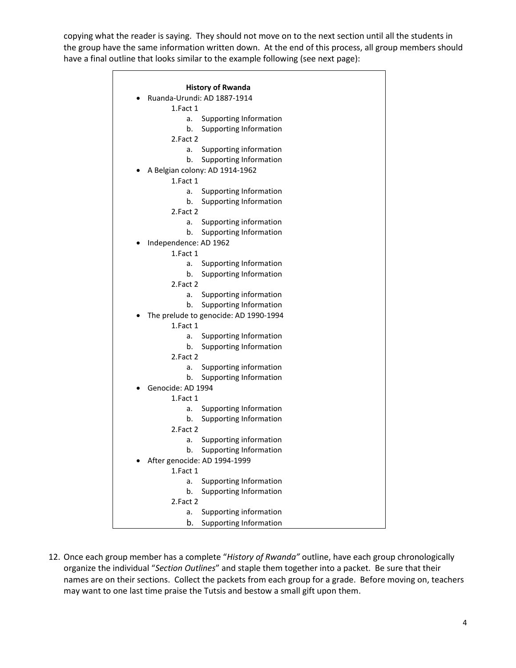copying what the reader is saying. They should not move on to the next section until all the students in the group have the same information written down. At the end of this process, all group members should have a final outline that looks similar to the example following (see next page):

|                              | <b>History of Rwanda</b>              |
|------------------------------|---------------------------------------|
|                              | Ruanda-Urundi: AD 1887-1914           |
| 1.Fact 1                     |                                       |
| a.                           | Supporting Information                |
| b.                           | Supporting Information                |
| 2.Fact 2                     |                                       |
| a.                           | Supporting information                |
| b.                           | Supporting Information                |
|                              | A Belgian colony: AD 1914-1962        |
| 1.Fact 1                     |                                       |
|                              |                                       |
| a.                           | Supporting Information                |
| b.                           | Supporting Information                |
| 2.Fact 2                     |                                       |
| a.                           | Supporting information                |
| b.                           | Supporting Information                |
| Independence: AD 1962        |                                       |
| 1.Fact 1                     |                                       |
| a.                           | Supporting Information                |
| b.                           | Supporting Information                |
| 2.Fact 2                     |                                       |
| a.                           | Supporting information                |
| b.                           | Supporting Information                |
|                              | The prelude to genocide: AD 1990-1994 |
| 1.Fact 1                     |                                       |
| a.                           | Supporting Information                |
| b.                           | Supporting Information                |
| 2.Fact 2                     |                                       |
| a.                           | Supporting information                |
| b.                           | <b>Supporting Information</b>         |
| Genocide: AD 1994            |                                       |
| 1.Fact 1                     |                                       |
| a.                           | <b>Supporting Information</b>         |
| b.                           | <b>Supporting Information</b>         |
| 2.Fact 2                     |                                       |
| а.                           | Supporting information                |
|                              | b. Supporting Information             |
| After genocide: AD 1994-1999 |                                       |
| 1.Fact 1                     |                                       |
| a.                           | <b>Supporting Information</b>         |
| b.                           | <b>Supporting Information</b>         |
| 2.Fact 2                     |                                       |
| a.                           | Supporting information                |
| b.                           | <b>Supporting Information</b>         |

12. Once each group member has a complete "*History of Rwanda"* outline, have each group chronologically organize the individual "*Section Outlines*" and staple them together into a packet. Be sure that their names are on their sections. Collect the packets from each group for a grade. Before moving on, teachers may want to one last time praise the Tutsis and bestow a small gift upon them.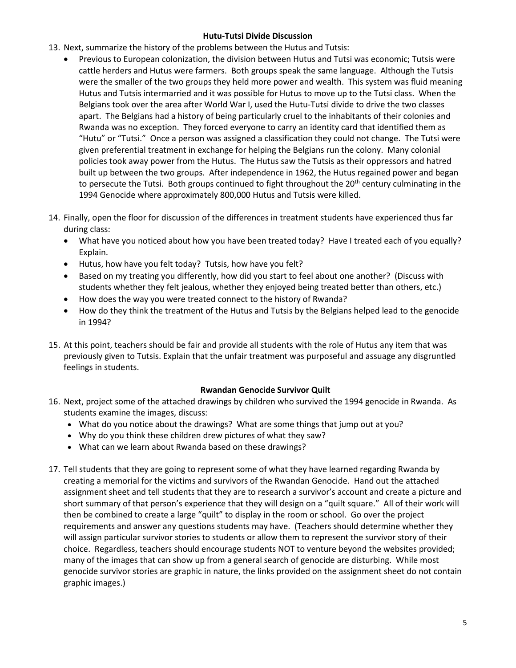### **Hutu-Tutsi Divide Discussion**

- 13. Next, summarize the history of the problems between the Hutus and Tutsis:
	- Previous to European colonization, the division between Hutus and Tutsi was economic; Tutsis were cattle herders and Hutus were farmers. Both groups speak the same language. Although the Tutsis were the smaller of the two groups they held more power and wealth. This system was fluid meaning Hutus and Tutsis intermarried and it was possible for Hutus to move up to the Tutsi class. When the Belgians took over the area after World War I, used the Hutu-Tutsi divide to drive the two classes apart. The Belgians had a history of being particularly cruel to the inhabitants of their colonies and Rwanda was no exception. They forced everyone to carry an identity card that identified them as "Hutu" or "Tutsi." Once a person was assigned a classification they could not change. The Tutsi were given preferential treatment in exchange for helping the Belgians run the colony. Many colonial policies took away power from the Hutus. The Hutus saw the Tutsis as their oppressors and hatred built up between the two groups. After independence in 1962, the Hutus regained power and began to persecute the Tutsi. Both groups continued to fight throughout the 20<sup>th</sup> century culminating in the 1994 Genocide where approximately 800,000 Hutus and Tutsis were killed.
- 14. Finally, open the floor for discussion of the differences in treatment students have experienced thus far during class:
	- What have you noticed about how you have been treated today? Have I treated each of you equally? Explain.
	- Hutus, how have you felt today? Tutsis, how have you felt?
	- Based on my treating you differently, how did you start to feel about one another? (Discuss with students whether they felt jealous, whether they enjoyed being treated better than others, etc.)
	- How does the way you were treated connect to the history of Rwanda?
	- How do they think the treatment of the Hutus and Tutsis by the Belgians helped lead to the genocide in 1994?
- 15. At this point, teachers should be fair and provide all students with the role of Hutus any item that was previously given to Tutsis. Explain that the unfair treatment was purposeful and assuage any disgruntled feelings in students.

## **Rwandan Genocide Survivor Quilt**

- 16. Next, project some of the attached drawings by children who survived the 1994 genocide in Rwanda. As students examine the images, discuss:
	- What do you notice about the drawings? What are some things that jump out at you?
	- Why do you think these children drew pictures of what they saw?
	- What can we learn about Rwanda based on these drawings?
- 17. Tell students that they are going to represent some of what they have learned regarding Rwanda by creating a memorial for the victims and survivors of the Rwandan Genocide. Hand out the attached assignment sheet and tell students that they are to research a survivor's account and create a picture and short summary of that person's experience that they will design on a "quilt square." All of their work will then be combined to create a large "quilt" to display in the room or school. Go over the project requirements and answer any questions students may have. (Teachers should determine whether they will assign particular survivor stories to students or allow them to represent the survivor story of their choice. Regardless, teachers should encourage students NOT to venture beyond the websites provided; many of the images that can show up from a general search of genocide are disturbing. While most genocide survivor stories are graphic in nature, the links provided on the assignment sheet do not contain graphic images.)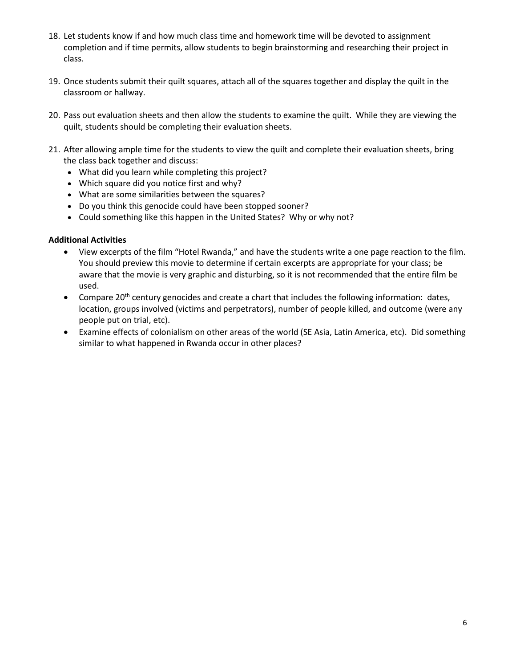- 18. Let students know if and how much class time and homework time will be devoted to assignment completion and if time permits, allow students to begin brainstorming and researching their project in class.
- 19. Once students submit their quilt squares, attach all of the squares together and display the quilt in the classroom or hallway.
- 20. Pass out evaluation sheets and then allow the students to examine the quilt. While they are viewing the quilt, students should be completing their evaluation sheets.
- 21. After allowing ample time for the students to view the quilt and complete their evaluation sheets, bring the class back together and discuss:
	- What did you learn while completing this project?
	- Which square did you notice first and why?
	- What are some similarities between the squares?
	- Do you think this genocide could have been stopped sooner?
	- Could something like this happen in the United States? Why or why not?

### **Additional Activities**

- View excerpts of the film "Hotel Rwanda," and have the students write a one page reaction to the film. You should preview this movie to determine if certain excerpts are appropriate for your class; be aware that the movie is very graphic and disturbing, so it is not recommended that the entire film be used.
- Compare 20<sup>th</sup> century genocides and create a chart that includes the following information: dates, location, groups involved (victims and perpetrators), number of people killed, and outcome (were any people put on trial, etc).
- Examine effects of colonialism on other areas of the world (SE Asia, Latin America, etc). Did something similar to what happened in Rwanda occur in other places?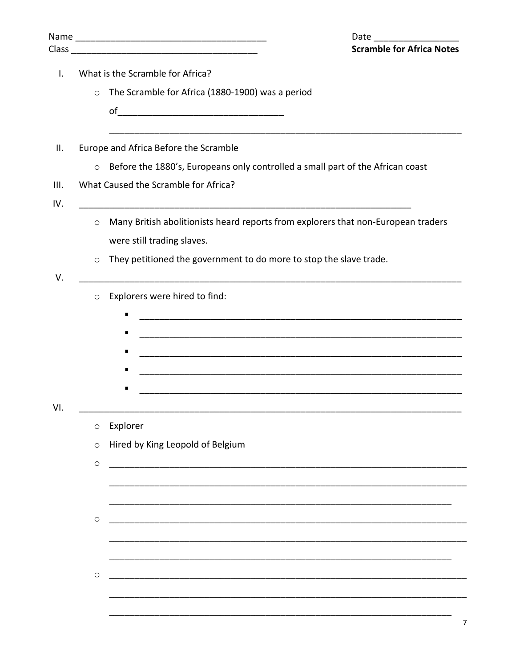|                |                                                                                           | Date<br><b>Scramble for Africa Notes</b>                                                                        |  |  |  |  |
|----------------|-------------------------------------------------------------------------------------------|-----------------------------------------------------------------------------------------------------------------|--|--|--|--|
| $\mathbf{I}$ . | What is the Scramble for Africa?                                                          |                                                                                                                 |  |  |  |  |
|                | $\circ$                                                                                   | The Scramble for Africa (1880-1900) was a period                                                                |  |  |  |  |
|                |                                                                                           |                                                                                                                 |  |  |  |  |
| Ш.             |                                                                                           | Europe and Africa Before the Scramble                                                                           |  |  |  |  |
|                | Before the 1880's, Europeans only controlled a small part of the African coast<br>$\circ$ |                                                                                                                 |  |  |  |  |
| III.<br>IV.    |                                                                                           | What Caused the Scramble for Africa?                                                                            |  |  |  |  |
|                | $\circ$                                                                                   | Many British abolitionists heard reports from explorers that non-European traders<br>were still trading slaves. |  |  |  |  |
| V.             | $\circ$                                                                                   | They petitioned the government to do more to stop the slave trade.                                              |  |  |  |  |
|                | $\circ$                                                                                   | Explorers were hired to find:<br>٠<br>п<br>٠                                                                    |  |  |  |  |
| VI.            | $\circ$                                                                                   | Explorer                                                                                                        |  |  |  |  |
|                | $\circ$                                                                                   | Hired by King Leopold of Belgium                                                                                |  |  |  |  |
|                | $\circlearrowright$                                                                       |                                                                                                                 |  |  |  |  |
|                |                                                                                           |                                                                                                                 |  |  |  |  |
|                | $\circlearrowright$                                                                       |                                                                                                                 |  |  |  |  |
|                | $\circlearrowright$                                                                       |                                                                                                                 |  |  |  |  |
|                |                                                                                           |                                                                                                                 |  |  |  |  |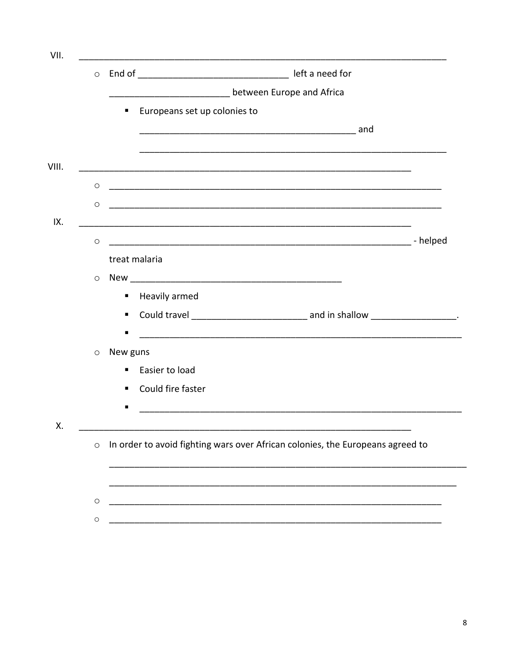| $\circ$             |                |                              |                           |                                                                                         |  |
|---------------------|----------------|------------------------------|---------------------------|-----------------------------------------------------------------------------------------|--|
|                     |                |                              | between Europe and Africa |                                                                                         |  |
|                     | ٠              | Europeans set up colonies to |                           |                                                                                         |  |
|                     |                |                              |                           |                                                                                         |  |
|                     |                |                              |                           |                                                                                         |  |
|                     |                |                              |                           |                                                                                         |  |
| O                   |                |                              |                           |                                                                                         |  |
| $\circlearrowright$ |                |                              |                           |                                                                                         |  |
|                     |                |                              |                           |                                                                                         |  |
| $\circ$             |                |                              |                           |                                                                                         |  |
|                     | treat malaria  |                              |                           |                                                                                         |  |
|                     |                |                              |                           |                                                                                         |  |
| $\circ$             |                |                              |                           |                                                                                         |  |
|                     | п              | Heavily armed                |                           |                                                                                         |  |
|                     | п              |                              |                           | Could travel ___________________________________ and in shallow ______________________. |  |
|                     | п              |                              |                           |                                                                                         |  |
| O                   | New guns       |                              |                           |                                                                                         |  |
|                     | $\blacksquare$ | Easier to load               |                           |                                                                                         |  |
|                     | ٠              | Could fire faster            |                           |                                                                                         |  |
|                     |                |                              |                           |                                                                                         |  |
|                     |                |                              |                           |                                                                                         |  |
| $\circ$             |                |                              |                           | In order to avoid fighting wars over African colonies, the Europeans agreed to          |  |
|                     |                |                              |                           |                                                                                         |  |
|                     |                |                              |                           |                                                                                         |  |
|                     |                |                              |                           |                                                                                         |  |
| $\circ$             |                |                              |                           |                                                                                         |  |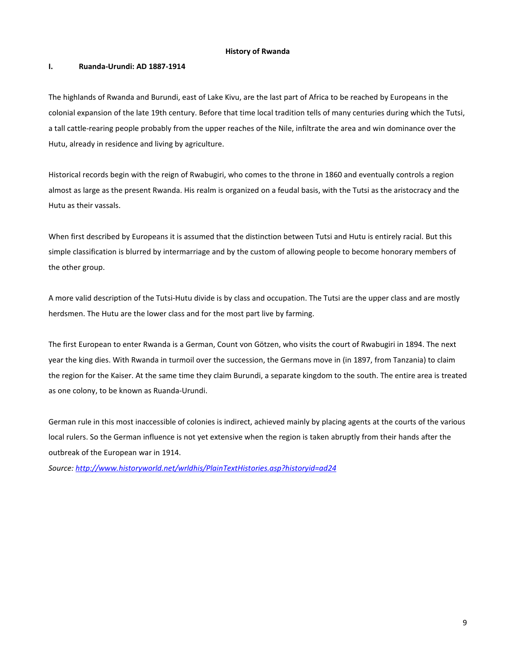#### **History of Rwanda**

#### **I. Ruanda-Urundi: AD 1887-1914**

The highlands of Rwanda and Burundi, east of Lake Kivu, are the last part of Africa to be reached by Europeans in the colonial expansion of the late 19th century. Before that time local tradition tells of many centuries during which the Tutsi, a tall cattle-rearing people probably from the upper reaches of the Nile, infiltrate the area and win dominance over the Hutu, already in residence and living by agriculture.

Historical records begin with the reign of Rwabugiri, who comes to the throne in 1860 and eventually controls a region almost as large as the present Rwanda. His realm is organized on a feudal basis, with the Tutsi as the aristocracy and the Hutu as their vassals.

When first described by Europeans it is assumed that the distinction between Tutsi and Hutu is entirely racial. But this simple classification is blurred by intermarriage and by the custom of allowing people to become honorary members of the other group.

A more valid description of the Tutsi-Hutu divide is by class and occupation. The Tutsi are the upper class and are mostly herdsmen. The Hutu are the lower class and for the most part live by farming.

The first European to enter Rwanda is a German, Count von Götzen, who visits the court of Rwabugiri in 1894. The next year the king dies. With Rwanda in turmoil over the succession, the Germans move in (in 1897, from Tanzania) to claim the region for the Kaiser. At the same time they claim Burundi, a separate kingdom to the south. The entire area is treated as one colony, to be known as Ruanda-Urundi.

German rule in this most inaccessible of colonies is indirect, achieved mainly by placing agents at the courts of the various local rulers. So the German influence is not yet extensive when the region is taken abruptly from their hands after the outbreak of the European war in 1914.

*Source[: http://www.historyworld.net/wrldhis/PlainTextHistories.asp?historyid=ad24](http://www.historyworld.net/wrldhis/PlainTextHistories.asp?historyid=ad24)*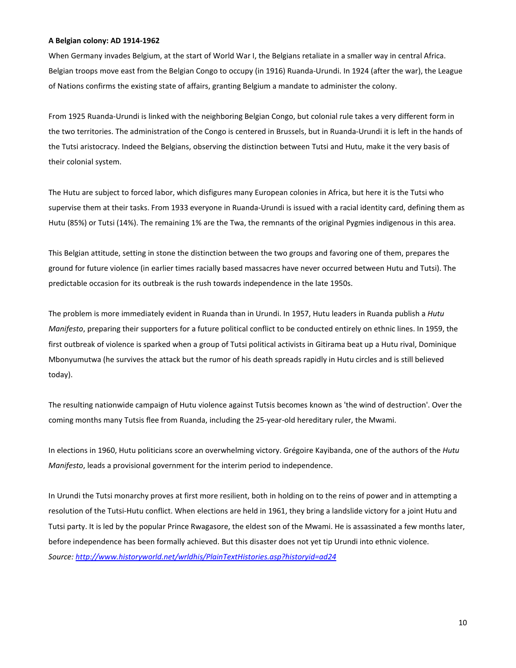#### **A Belgian colony: AD 1914-1962**

When Germany invades Belgium, at the start of World War I, the Belgians retaliate in a smaller way in central Africa. Belgian troops move east from th[e Belgian Congo](http://www.historyworld.net/wrldhis/PlainTextHistories.asp?ParagraphID=ozn#ozn) to occupy (in 1916) Ruanda-Urundi. In 1924 (after the war), the League of Nations confirms the existing state of affairs, granting Belgium a mandate to administer the colony.

From 1925 Ruanda-Urundi is linked with the neighboring [Belgian Congo,](http://www.historyworld.net/wrldhis/PlainTextHistories.asp?ParagraphID=ozn#ozn) but colonial rule takes a very different form in the two territories. The administration of the Congo is centered in Brussels, but in Ruanda-Urundi it is left in the hands of the Tutsi aristocracy. Indeed the Belgians, observing the distinction between Tutsi and Hutu, make it the very basis of their colonial system.

The Hutu are subject to forced labor, which disfigures many European colonies in Africa, but here it is the Tutsi who supervise them at their tasks. From 1933 everyone in Ruanda-Urundi is issued with a racial identity card, defining them as Hutu (85%) or Tutsi (14%). The remaining 1% are the Twa, the remnants of the original [Pygmies](http://www.historyworld.net/wrldhis/PlainTextHistories.asp?ParagraphID=cbd#cbd) indigenous in this area.

This Belgian attitude, setting in stone the distinction between the two groups and favoring one of them, prepares the ground for future violence (in earlier times racially based massacres have never occurred between Hutu and Tutsi). The predictable occasion for its outbreak is the rush towards independence in the late 1950s.

The problem is more immediately evident in Ruanda than in Urundi. In 1957, Hutu leaders in Ruanda publish a *Hutu Manifesto*, preparing their supporters for a future political conflict to be conducted entirely on ethnic lines. In 1959, the first outbreak of violence is sparked when a group of Tutsi political activists in Gitirama beat up a Hutu rival, Dominique Mbonyumutwa (he survives the attack but the rumor of his death spreads rapidly in Hutu circles and is still believed today).

The resulting nationwide campaign of Hutu violence against Tutsis becomes known as 'the wind of destruction'. Over the coming months many Tutsis flee from Ruanda, including the 25-year-old hereditary ruler, the Mwami.

In elections in 1960, Hutu politicians score an overwhelming victory. Grégoire Kayibanda, one of the authors of the *Hutu Manifesto*, leads a provisional government for the interim period to independence.

In Urundi the Tutsi monarchy proves at first more resilient, both in holding on to the reins of power and in attempting a resolution of the Tutsi-Hutu conflict. When elections are held in 1961, they bring a landslide victory for a joint Hutu and Tutsi party. It is led by the popular Prince Rwagasore, the eldest son of the Mwami. He is assassinated a few months later, before independence has been formally achieved. But this disaster does not yet tip Urundi into ethnic violence. *Source[: http://www.historyworld.net/wrldhis/PlainTextHistories.asp?historyid=ad24](http://www.historyworld.net/wrldhis/PlainTextHistories.asp?historyid=ad24)*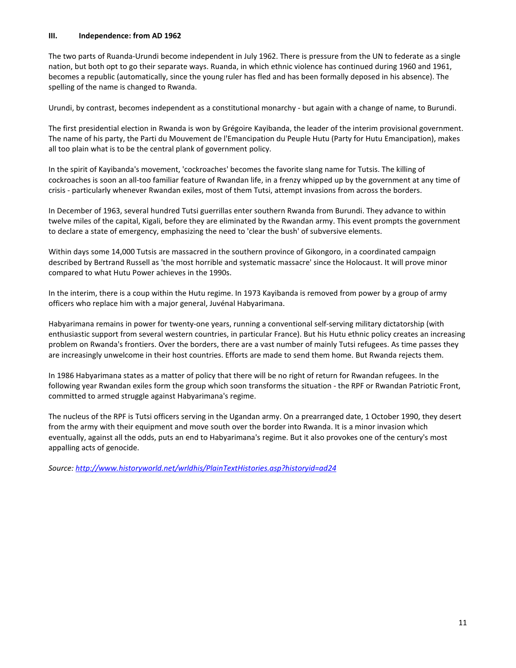#### **III. Independence: from AD 1962**

The two parts of Ruanda-Urundi become independent in July 1962. There is pressure from the UN to federate as a single nation, but both opt to go their separate ways. Ruanda, in which ethnic violence has continued during 1960 and 1961, becomes a republic (automatically, since the young ruler has fled and has been formally deposed in his absence). The spelling of the name is changed to Rwanda.

Urundi, by contrast, becomes independent as a constitutional monarchy - but again with a change of name, to Burundi.

The first presidential election in Rwanda is won by Grégoire Kayibanda, the leader of the interim provisional government. The name of his party, the Parti du Mouvement de l'Emancipation du Peuple Hutu (Party for Hutu Emancipation), makes all too plain what is to be the central plank of government policy.

In the spirit of Kayibanda's movement, 'cockroaches' becomes the favorite slang name for Tutsis. The killing of cockroaches is soon an all-too familiar feature of Rwandan life, in a frenzy whipped up by the government at any time of crisis - particularly whenever Rwandan exiles, most of them Tutsi, attempt invasions from across the borders.

In December of 1963, several hundred Tutsi guerrillas enter southern Rwanda from Burundi. They advance to within twelve miles of the capital, Kigali, before they are eliminated by the Rwandan army. This event prompts the government to declare a state of emergency, emphasizing the need to 'clear the bush' of subversive elements.

Within days some 14,000 Tutsis are massacred in the southern province of Gikongoro, in a coordinated campaign described by Bertrand Russell as 'the most horrible and systematic massacre' since the Holocaust. It will prove minor compared to what Hutu Power achieves in the 1990s.

In the interim, there is a coup within the Hutu regime. In 1973 Kayibanda is removed from power by a group of army officers who replace him with a major general, Juvénal Habyarimana.

Habyarimana remains in power for twenty-one years, running a conventional self-serving military dictatorship (with enthusiastic support from several western countries, in particular France). But his Hutu ethnic policy creates an increasing problem on Rwanda's frontiers. Over the borders, there are a vast number of mainly Tutsi refugees. As time passes they are increasingly unwelcome in their host countries. Efforts are made to send them home. But Rwanda rejects them.

In 1986 Habyarimana states as a matter of policy that there will be no right of return for Rwandan refugees. In the following year Rwandan exiles form the group which soon transforms the situation - the RPF or Rwandan Patriotic Front, committed to armed struggle against Habyarimana's regime.

The nucleus of the RPF is Tutsi officers serving in the Ugandan army. On a prearranged date, 1 October 1990, they desert from the army with their equipment and move south over the border into Rwanda. It is a minor invasion which eventually, against all the odds, puts an end to Habyarimana's regime. But it also provokes one of the century's most appalling acts of genocide.

*Source[: http://www.historyworld.net/wrldhis/PlainTextHistories.asp?historyid=ad24](http://www.historyworld.net/wrldhis/PlainTextHistories.asp?historyid=ad24)*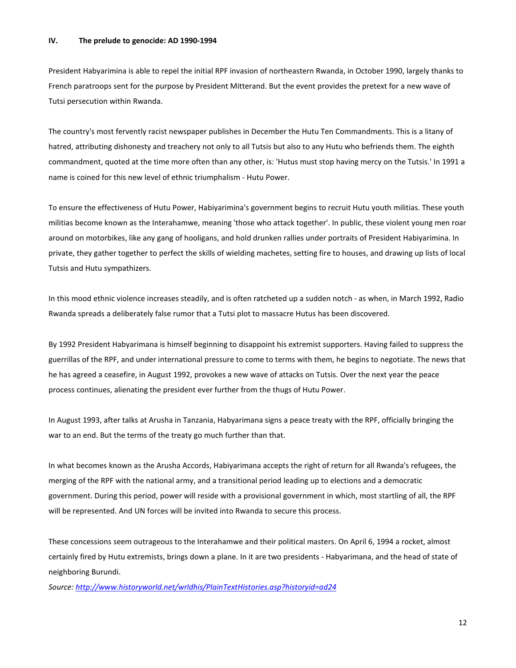#### **IV. The prelude to genocide: AD 1990-1994**

President Habyarimina is able to repel the initial RPF invasion of northeastern Rwanda, in October 1990, largely thanks to French paratroops sent for the purpose by President Mitterand. But the event provides the pretext for a new wave of Tutsi persecution within Rwanda.

The country's most fervently racist newspaper publishes in December the Hutu Ten Commandments. This is a litany of hatred, attributing dishonesty and treachery not only to all Tutsis but also to any Hutu who befriends them. The eighth commandment, quoted at the time more often than any other, is: 'Hutus must stop having mercy on the Tutsis.' In 1991 a name is coined for this new level of ethnic triumphalism - Hutu Power.

To ensure the effectiveness of Hutu Power, Habiyarimina's government begins to recruit Hutu youth militias. These youth militias become known as the Interahamwe, meaning 'those who attack together'. In public, these violent young men roar around on motorbikes, like any gang of hooligans, and hold drunken rallies under portraits of President Habiyarimina. In private, they gather together to perfect the skills of wielding machetes, setting fire to houses, and drawing up lists of local Tutsis and Hutu sympathizers.

In this mood ethnic violence increases steadily, and is often ratcheted up a sudden notch - as when, in March 1992, Radio Rwanda spreads a deliberately false rumor that a Tutsi plot to massacre Hutus has been discovered.

By 1992 President Habyarimana is himself beginning to disappoint his extremist supporters. Having failed to suppress the guerrillas of the RPF, and under international pressure to come to terms with them, he begins to negotiate. The news that he has agreed a ceasefire, in August 1992, provokes a new wave of attacks on Tutsis. Over the next year the peace process continues, alienating the president ever further from the thugs of Hutu Power.

In August 1993, after talks at Arusha in Tanzania, Habyarimana signs a peace treaty with the RPF, officially bringing the war to an end. But the terms of the treaty go much further than that.

In what becomes known as the Arusha Accords, Habiyarimana accepts the right of return for all Rwanda's refugees, the merging of the RPF with the national army, and a transitional period leading up to elections and a democratic government. During this period, power will reside with a provisional government in which, most startling of all, the RPF will be represented. And UN forces will be invited into Rwanda to secure this process.

These concessions seem outrageous to the Interahamwe and their political masters. On April 6, 1994 a rocket, almost certainly fired by Hutu extremists, brings down a plane. In it are two presidents - Habyarimana, and the head of state of neighboring Burundi.

*Source[: http://www.historyworld.net/wrldhis/PlainTextHistories.asp?historyid=ad24](http://www.historyworld.net/wrldhis/PlainTextHistories.asp?historyid=ad24)*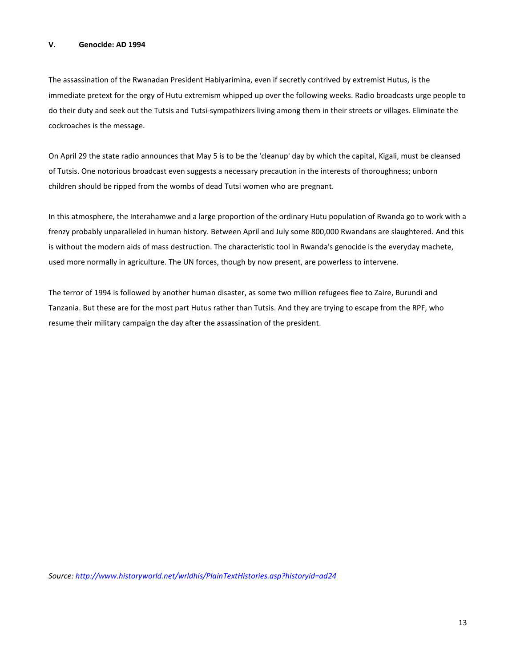#### **V. Genocide: AD 1994**

The assassination of the Rwanadan President Habiyarimina, even if secretly contrived by extremist Hutus, is the immediate pretext for the orgy of Hutu extremism whipped up over the following weeks. Radio broadcasts urge people to do their duty and seek out the Tutsis and Tutsi-sympathizers living among them in their streets or villages. Eliminate the cockroaches is the message.

On April 29 the state radio announces that May 5 is to be the 'cleanup' day by which the capital, Kigali, must be cleansed of Tutsis. One notorious broadcast even suggests a necessary precaution in the interests of thoroughness; unborn children should be ripped from the wombs of dead Tutsi women who are pregnant.

In this atmosphere, the Interahamwe and a large proportion of the ordinary Hutu population of Rwanda go to work with a frenzy probably unparalleled in human history. Between April and July some 800,000 Rwandans are slaughtered. And this is without the modern aids of mass destruction. The characteristic tool in Rwanda's genocide is the everyday machete, used more normally in agriculture. The UN forces, though by now present, are powerless to intervene.

The terror of 1994 is followed by another human disaster, as some two million refugees flee to Zaire, Burundi and Tanzania. But these are for the most part Hutus rather than Tutsis. And they are trying to escape from the RPF, who resume their military campaign the day after the assassination of the president.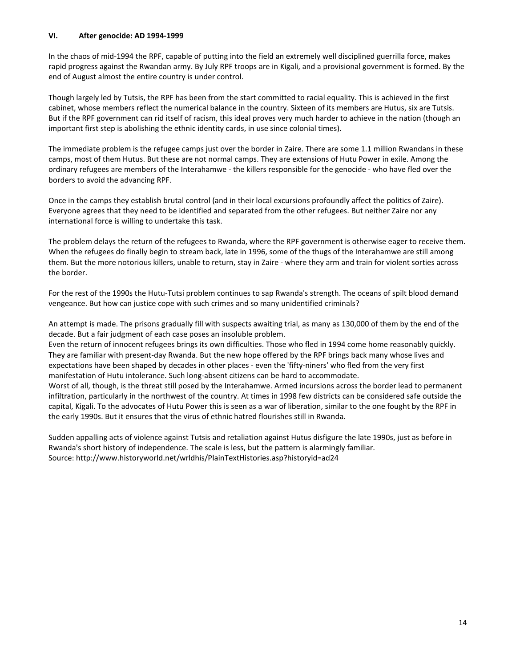#### **VI. After genocide: AD 1994-1999**

In the chaos of mid-1994 the RPF, capable of putting into the field an extremely well disciplined guerrilla force, makes rapid progress against the Rwandan army. By July RPF troops are in Kigali, and a provisional government is formed. By the end of August almost the entire country is under control.

Though largely led by Tutsis, the RPF has been from the start committed to racial equality. This is achieved in the first cabinet, whose members reflect the numerical balance in the country. Sixteen of its members are Hutus, six are Tutsis. But if the RPF government can rid itself of racism, this ideal proves very much harder to achieve in the nation (though an important first step is abolishing the ethnic identity cards, in use since colonial times).

The immediate problem is the refugee camps just over the border in Zaire. There are some 1.1 million Rwandans in these camps, most of them Hutus. But these are not normal camps. They are extensions of Hutu Power in exile. Among the ordinary refugees are members of the Interahamwe - the killers responsible for the genocide - who have fled over the borders to avoid the advancing RPF.

Once in the camps they establish brutal control (and in their local excursions profoundly affect the politics of Zaire). Everyone agrees that they need to be identified and separated from the other refugees. But neither Zaire nor any international force is willing to undertake this task.

The problem delays the return of the refugees to Rwanda, where the RPF government is otherwise eager to receive them. When the refugees do finally begin to stream back, late in 1996, some of the thugs of the Interahamwe are still among them. But the more notorious killers, unable to return, stay in Zaire - where they arm and train for violent sorties across the border.

For the rest of the 1990s the Hutu-Tutsi problem continues to sap Rwanda's strength. The oceans of spilt blood demand vengeance. But how can justice cope with such crimes and so many unidentified criminals?

An attempt is made. The prisons gradually fill with suspects awaiting trial, as many as 130,000 of them by the end of the decade. But a fair judgment of each case poses an insoluble problem.

Even the return of innocent refugees brings its own difficulties. Those who fled in 1994 come home reasonably quickly. They are familiar with present-day Rwanda. But the new hope offered by the RPF brings back many whose lives and expectations have been shaped by decades in other places - even the 'fifty-niners' who fled from the very first manifestation of Hutu intolerance. Such long-absent citizens can be hard to accommodate.

Worst of all, though, is the threat still posed by the Interahamwe. Armed incursions across the border lead to permanent infiltration, particularly in the northwest of the country. At times in 1998 few districts can be considered safe outside the capital, Kigali. To the advocates of Hutu Power this is seen as a war of liberation, similar to the one fought by the RPF in the early 1990s. But it ensures that the virus of ethnic hatred flourishes still in Rwanda.

Sudden appalling acts of violence against Tutsis and retaliation against Hutus disfigure the late 1990s, just as before in Rwanda's short history of independence. The scale is less, but the pattern is alarmingly familiar. Source: http://www.historyworld.net/wrldhis/PlainTextHistories.asp?historyid=ad24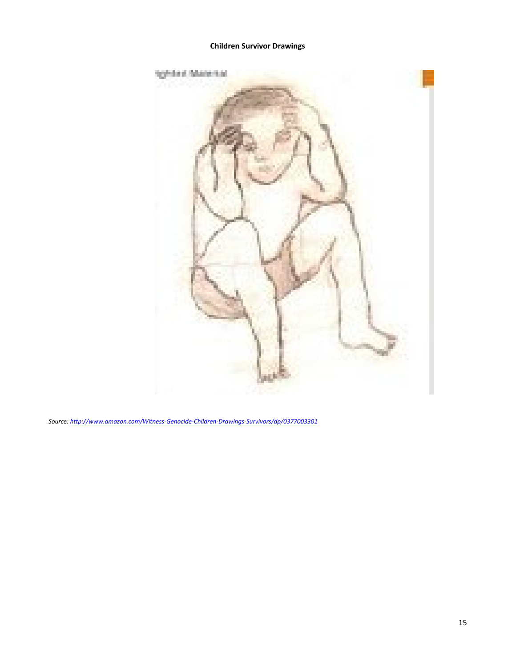#### **Children Survivor Drawings**



*Source[: http://www.amazon.com/Witness-Genocide-Children-Drawings-Survivors/dp/0377003301](http://www.amazon.com/Witness-Genocide-Children-Drawings-Survivors/dp/0377003301)*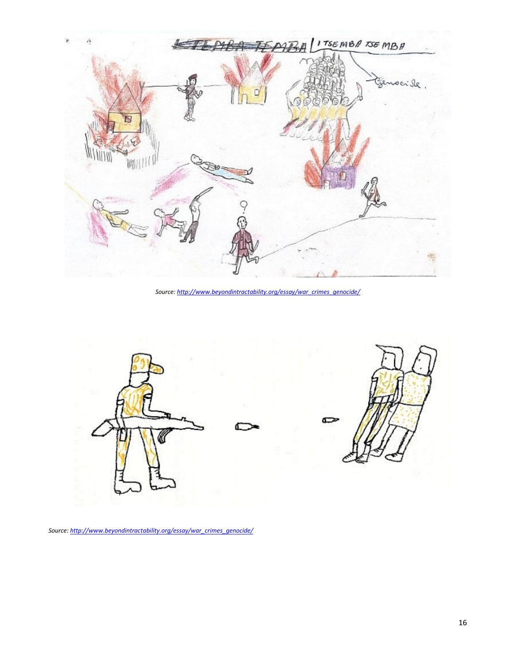

*Source[: http://www.beyondintractability.org/essay/war\\_crimes\\_genocide/](http://www.beyondintractability.org/essay/war_crimes_genocide/)*



*Source[: http://www.beyondintractability.org/essay/war\\_crimes\\_genocide/](http://www.beyondintractability.org/essay/war_crimes_genocide/)*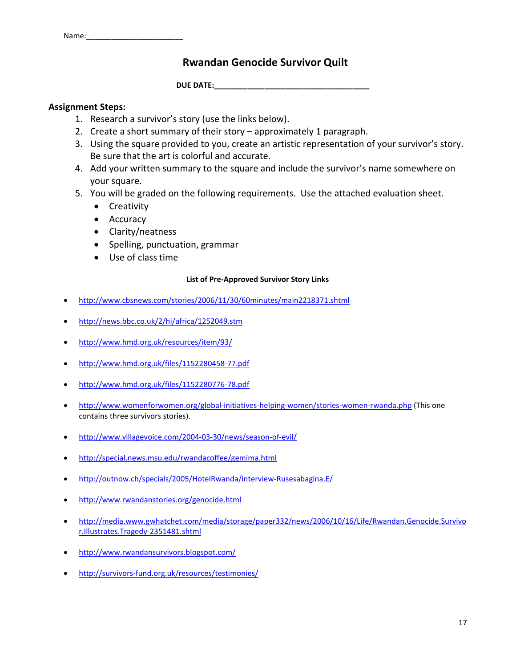Name:

# **Rwandan Genocide Survivor Quilt**

**DUE DATE:** 

# **Assignment Steps:**

- 1. Research a survivor's story (use the links below).
- 2. Create a short summary of their story approximately 1 paragraph.
- 3. Using the square provided to you, create an artistic representation of your survivor's story. Be sure that the art is colorful and accurate.
- 4. Add your written summary to the square and include the survivor's name somewhere on your square.
- 5. You will be graded on the following requirements. Use the attached evaluation sheet.
	- Creativity
	- Accuracy
	- Clarity/neatness
	- Spelling, punctuation, grammar
	- Use of class time

### **List of Pre-Approved Survivor Story Links**

- <http://www.cbsnews.com/stories/2006/11/30/60minutes/main2218371.shtml>
- <http://news.bbc.co.uk/2/hi/africa/1252049.stm>
- <http://www.hmd.org.uk/resources/item/93/>
- <http://www.hmd.org.uk/files/1152280458-77.pdf>
- <http://www.hmd.org.uk/files/1152280776-78.pdf>
- <http://www.womenforwomen.org/global-initiatives-helping-women/stories-women-rwanda.php> (This one contains three survivors stories).
- <http://www.villagevoice.com/2004-03-30/news/season-of-evil/>
- <http://special.news.msu.edu/rwandacoffee/gemima.html>
- <http://outnow.ch/specials/2005/HotelRwanda/interview-Rusesabagina.E/>
- <http://www.rwandanstories.org/genocide.html>
- [http://media.www.gwhatchet.com/media/storage/paper332/news/2006/10/16/Life/Rwandan.Genocide.Survivo](http://media.www.gwhatchet.com/media/storage/paper332/news/2006/10/16/Life/Rwandan.Genocide.Survivor.Illustrates.Tragedy-2351481.shtml) [r.Illustrates.Tragedy-2351481.shtml](http://media.www.gwhatchet.com/media/storage/paper332/news/2006/10/16/Life/Rwandan.Genocide.Survivor.Illustrates.Tragedy-2351481.shtml)
- <http://www.rwandansurvivors.blogspot.com/>
- <http://survivors-fund.org.uk/resources/testimonies/>